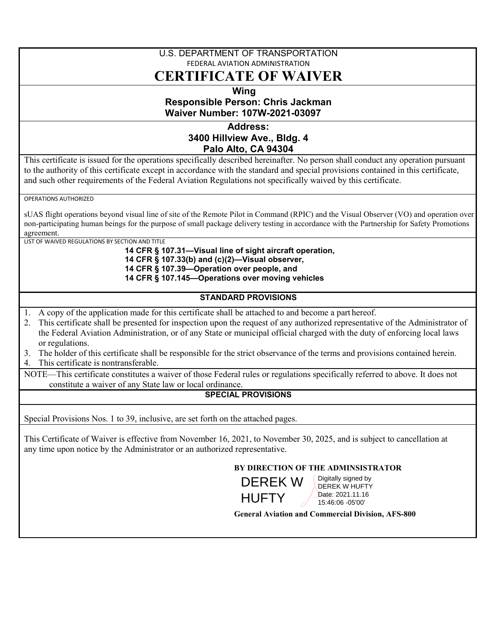## U.S. DEPARTMENT OF TRANSPORTATION FEDERAL AVIATION ADMINISTRATION **CERTIFICATE OF WAIVER**

# **Wing Responsible Person: Chris Jackman Waiver Number: 107W-2021-03097**

## **Address: 3400 Hillview Ave., Bldg. 4 Palo Alto, CA 94304**

This certificate is issued for the operations specifically described hereinafter. No person shall conduct any operation pursuant to the authority of this certificate except in accordance with the standard and special provisions contained in this certificate, and such other requirements of the Federal Aviation Regulations not specifically waived by this certificate.

OPERATIONS AUTHORIZED

sUAS flight operations beyond visual line of site of the Remote Pilot in Command (RPIC) and the Visual Observer (VO) and operation over non-participating human beings for the purpose of small package delivery testing in accordance with the Partnership for Safety Promotions agreement.

LIST OF WAIVED REGULATIONS BY SECTION AND TITLE

**14 CFR § 107.31—Visual line of sight aircraft operation, 14 CFR § 107.33(b) and (c)(2)—Visual observer, 14 CFR § 107.39—Operation over people, and 14 CFR § 107.145—Operations over moving vehicles** 

## **STANDARD PROVISIONS**

- 1. A copy of the application made for this certificate shall be attached to and become a part hereof.
- 2. This certificate shall be presented for inspection upon the request of any authorized representative of the Administrator of the Federal Aviation Administration, or of any State or municipal official charged with the duty of enforcing local laws or regulations.
- 3. The holder of this certificate shall be responsible for the strict observance of the terms and provisions contained herein.
- 4. This certificate is nontransferable.

NOTE—This certificate constitutes a waiver of those Federal rules or regulations specifically referred to above. It does not constitute a waiver of any State law or local ordinance.

### **SPECIAL PROVISIONS**

Special Provisions Nos. 1 to 39, inclusive, are set forth on the attached pages.

This Certificate of Waiver is effective from November 16, 2021, to November 30, 2025, and is subject to cancellation at any time upon notice by the Administrator or an authorized representative.

## **BY DIRECTION OF THE ADMINSISTRATOR**



Digitally signed by DEREK W HUFTY Date: 2021.11.16 15:46:06 -05'00'

 **General Aviation and Commercial Division, AFS-800**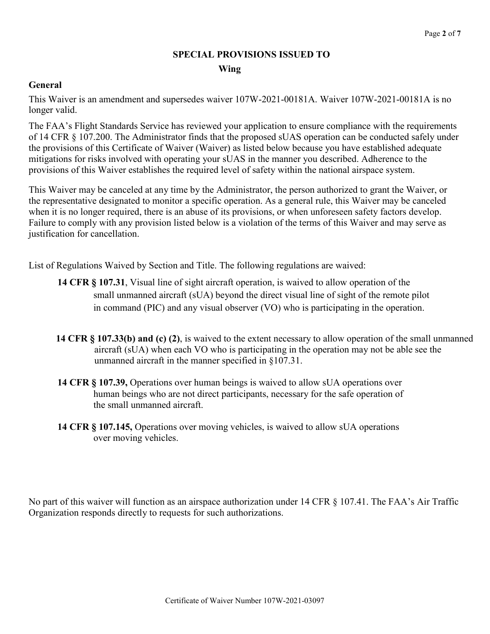# **SPECIAL PROVISIONS ISSUED TO Wing**

## **General**

This Waiver is an amendment and supersedes waiver 107W-2021-00181A. Waiver 107W-2021-00181A is no longer valid.

The FAA's Flight Standards Service has reviewed your application to ensure compliance with the requirements of 14 CFR § 107.200. The Administrator finds that the proposed sUAS operation can be conducted safely under the provisions of this Certificate of Waiver (Waiver) as listed below because you have established adequate mitigations for risks involved with operating your sUAS in the manner you described. Adherence to the provisions of this Waiver establishes the required level of safety within the national airspace system.

This Waiver may be canceled at any time by the Administrator, the person authorized to grant the Waiver, or the representative designated to monitor a specific operation. As a general rule, this Waiver may be canceled when it is no longer required, there is an abuse of its provisions, or when unforeseen safety factors develop. Failure to comply with any provision listed below is a violation of the terms of this Waiver and may serve as justification for cancellation.

List of Regulations Waived by Section and Title. The following regulations are waived:

- **14 CFR § 107.31**, Visual line of sight aircraft operation, is waived to allow operation of the small unmanned aircraft (sUA) beyond the direct visual line of sight of the remote pilot in command (PIC) and any visual observer (VO) who is participating in the operation.
- **14 CFR § 107.33(b) and (c) (2)**, is waived to the extent necessary to allow operation of the small unmanned aircraft (sUA) when each VO who is participating in the operation may not be able see the unmanned aircraft in the manner specified in §107.31.
- **14 CFR § 107.39,** Operations over human beings is waived to allow sUA operations over human beings who are not direct participants, necessary for the safe operation of the small unmanned aircraft.
- **14 CFR § 107.145,** Operations over moving vehicles, is waived to allow sUA operations over moving vehicles.

No part of this waiver will function as an airspace authorization under 14 CFR § 107.41. The FAA's Air Traffic Organization responds directly to requests for such authorizations.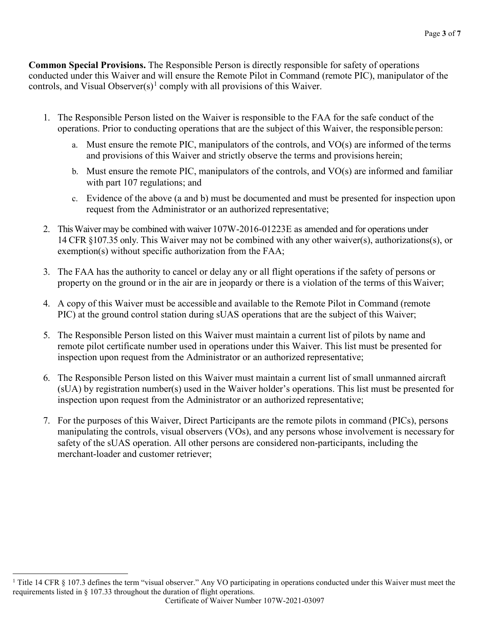**Common Special Provisions.** The Responsible Person is directly responsible for safety of operations conducted under this Waiver and will ensure the Remote Pilot in Command (remote PIC), manipulator of the controls, and Visual Observer $(s)^1$  $(s)^1$  comply with all provisions of this Waiver.

- 1. The Responsible Person listed on the Waiver is responsible to the FAA for the safe conduct of the operations. Prior to conducting operations that are the subject of this Waiver, the responsible person:
	- a. Must ensure the remote PIC, manipulators of the controls, and VO(s) are informed of the terms and provisions of this Waiver and strictly observe the terms and provisions herein;
	- b. Must ensure the remote PIC, manipulators of the controls, and VO(s) are informed and familiar with part 107 regulations; and
	- c. Evidence of the above (a and b) must be documented and must be presented for inspection upon request from the Administrator or an authorized representative;
- 2. This Waiver may be combined with waiver 107W-2016-01223E as amended and for operations under 14 CFR §107.35 only. This Waiver may not be combined with any other waiver(s), authorizations(s), or exemption(s) without specific authorization from the FAA;
- 3. The FAA has the authority to cancel or delay any or all flight operations if the safety of persons or property on the ground or in the air are in jeopardy or there is a violation of the terms of thisWaiver;
- 4. A copy of this Waiver must be accessible and available to the Remote Pilot in Command (remote PIC) at the ground control station during sUAS operations that are the subject of this Waiver;
- 5. The Responsible Person listed on this Waiver must maintain a current list of pilots by name and remote pilot certificate number used in operations under this Waiver. This list must be presented for inspection upon request from the Administrator or an authorized representative;
- 6. The Responsible Person listed on this Waiver must maintain a current list of small unmanned aircraft (sUA) by registration number(s) used in the Waiver holder's operations. This list must be presented for inspection upon request from the Administrator or an authorized representative;
- 7. For the purposes of this Waiver, Direct Participants are the remote pilots in command (PICs), persons manipulating the controls, visual observers (VOs), and any persons whose involvement is necessary for safety of the sUAS operation. All other persons are considered non-participants, including the merchant-loader and customer retriever;

<span id="page-2-0"></span><sup>&</sup>lt;sup>1</sup> Title 14 CFR § 107.3 defines the term "visual observer." Any VO participating in operations conducted under this Waiver must meet the requirements listed in § 107.33 throughout the duration of flight operations.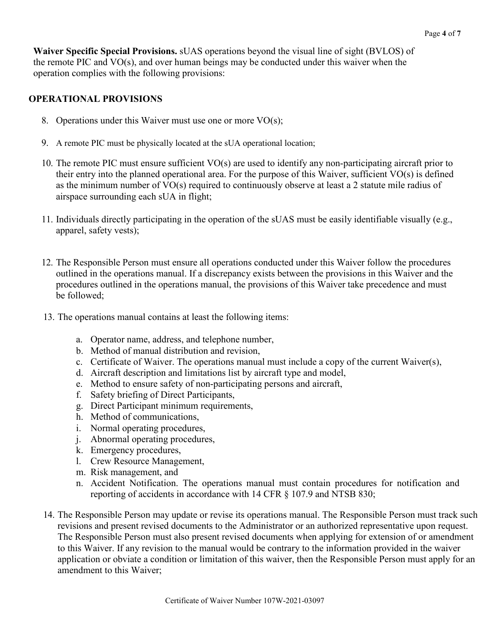**Waiver Specific Special Provisions.** sUAS operations beyond the visual line of sight (BVLOS) of the remote PIC and VO(s), and over human beings may be conducted under this waiver when the operation complies with the following provisions:

# **OPERATIONAL PROVISIONS**

- 8. Operations under this Waiver must use one or more VO(s);
- 9. A remote PIC must be physically located at the sUA operational location;
- 10. The remote PIC must ensure sufficient VO(s) are used to identify any non-participating aircraft prior to their entry into the planned operational area. For the purpose of this Waiver, sufficient VO(s) is defined as the minimum number of VO(s) required to continuously observe at least a 2 statute mile radius of airspace surrounding each sUA in flight;
- 11. Individuals directly participating in the operation of the sUAS must be easily identifiable visually (e.g., apparel, safety vests);
- 12. The Responsible Person must ensure all operations conducted under this Waiver follow the procedures outlined in the operations manual. If a discrepancy exists between the provisions in this Waiver and the procedures outlined in the operations manual, the provisions of this Waiver take precedence and must be followed;
- 13. The operations manual contains at least the following items:
	- a. Operator name, address, and telephone number,
	- b. Method of manual distribution and revision,
	- c. Certificate of Waiver. The operations manual must include a copy of the current Waiver(s),
	- d. Aircraft description and limitations list by aircraft type and model,
	- e. Method to ensure safety of non-participating persons and aircraft,
	- f. Safety briefing of Direct Participants,
	- g. Direct Participant minimum requirements,
	- h. Method of communications,
	- i. Normal operating procedures,
	- j. Abnormal operating procedures,
	- k. Emergency procedures,
	- l. Crew Resource Management,
	- m. Risk management, and
	- n. Accident Notification. The operations manual must contain procedures for notification and reporting of accidents in accordance with 14 CFR § 107.9 and NTSB 830;
- 14. The Responsible Person may update or revise its operations manual. The Responsible Person must track such revisions and present revised documents to the Administrator or an authorized representative upon request. The Responsible Person must also present revised documents when applying for extension of or amendment to this Waiver. If any revision to the manual would be contrary to the information provided in the waiver application or obviate a condition or limitation of this waiver, then the Responsible Person must apply for an amendment to this Waiver;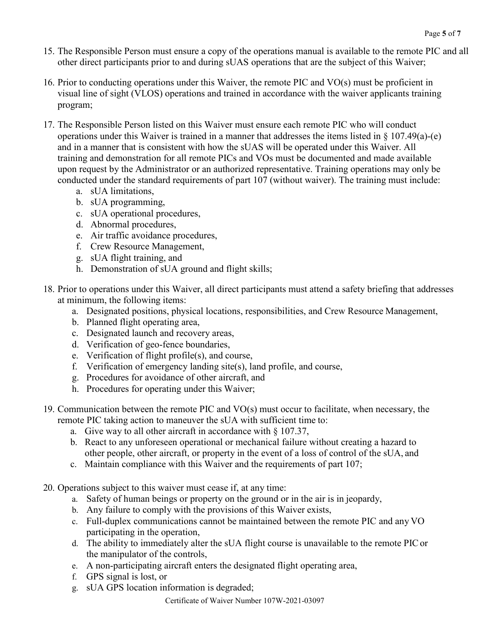- 15. The Responsible Person must ensure a copy of the operations manual is available to the remote PIC and all other direct participants prior to and during sUAS operations that are the subject of this Waiver;
- 16. Prior to conducting operations under this Waiver, the remote PIC and VO(s) must be proficient in visual line of sight (VLOS) operations and trained in accordance with the waiver applicants training program;
- 17. The Responsible Person listed on this Waiver must ensure each remote PIC who will conduct operations under this Waiver is trained in a manner that addresses the items listed in § 107.49(a)-(e) and in a manner that is consistent with how the sUAS will be operated under this Waiver. All training and demonstration for all remote PICs and VOs must be documented and made available upon request by the Administrator or an authorized representative. Training operations may only be conducted under the standard requirements of part 107 (without waiver). The training must include:
	- a. sUA limitations,
	- b. sUA programming,
	- c. sUA operational procedures,
	- d. Abnormal procedures,
	- e. Air traffic avoidance procedures,
	- f. Crew Resource Management,
	- g. sUA flight training, and
	- h. Demonstration of sUA ground and flight skills;
- 18. Prior to operations under this Waiver, all direct participants must attend a safety briefing that addresses at minimum, the following items:
	- a. Designated positions, physical locations, responsibilities, and Crew Resource Management,
	- b. Planned flight operating area,
	- c. Designated launch and recovery areas,
	- d. Verification of geo-fence boundaries,
	- e. Verification of flight profile(s), and course,
	- f. Verification of emergency landing site(s), land profile, and course,
	- g. Procedures for avoidance of other aircraft, and
	- h. Procedures for operating under this Waiver;
- 19. Communication between the remote PIC and VO(s) must occur to facilitate, when necessary, the remote PIC taking action to maneuver the sUA with sufficient time to:
	- a. Give way to all other aircraft in accordance with § 107.37,
	- b. React to any unforeseen operational or mechanical failure without creating a hazard to other people, other aircraft, or property in the event of a loss of control of the sUA, and
	- c. Maintain compliance with this Waiver and the requirements of part 107;
- 20. Operations subject to this waiver must cease if, at any time:
	- a. Safety of human beings or property on the ground or in the air is in jeopardy,
	- b. Any failure to comply with the provisions of this Waiver exists,
	- c. Full-duplex communications cannot be maintained between the remote PIC and any VO participating in the operation,
	- d. The ability to immediately alter the sUA flight course is unavailable to the remote PICor the manipulator of the controls,
	- e. A non-participating aircraft enters the designated flight operating area,
	- f. GPS signal is lost, or
	- g. sUA GPS location information is degraded;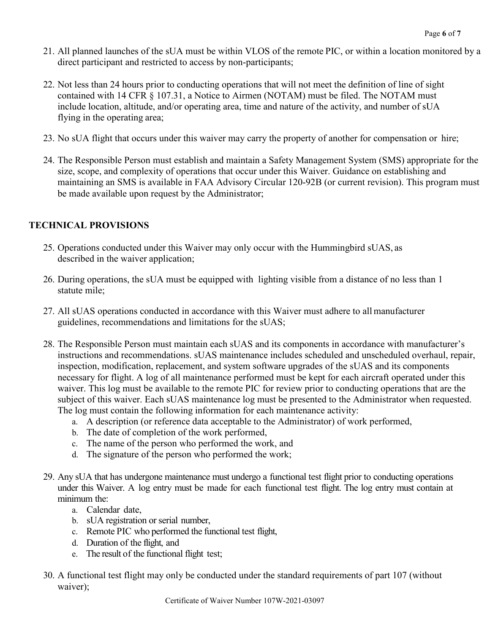- 21. All planned launches of the sUA must be within VLOS of the remote PIC, or within a location monitored by a direct participant and restricted to access by non-participants;
- 22. Not less than 24 hours prior to conducting operations that will not meet the definition of line of sight contained with 14 CFR § 107.31, a Notice to Airmen (NOTAM) must be filed. The NOTAM must include location, altitude, and/or operating area, time and nature of the activity, and number of sUA flying in the operating area;
- 23. No sUA flight that occurs under this waiver may carry the property of another for compensation or hire;
- 24. The Responsible Person must establish and maintain a Safety Management System (SMS) appropriate for the size, scope, and complexity of operations that occur under this Waiver. Guidance on establishing and maintaining an SMS is available in FAA Advisory Circular 120-92B (or current revision). This program must be made available upon request by the Administrator;

# **TECHNICAL PROVISIONS**

- 25. Operations conducted under this Waiver may only occur with the Hummingbird sUAS, as described in the waiver application;
- 26. During operations, the sUA must be equipped with lighting visible from a distance of no less than 1 statute mile;
- 27. All sUAS operations conducted in accordance with this Waiver must adhere to allmanufacturer guidelines, recommendations and limitations for the sUAS;
- 28. The Responsible Person must maintain each sUAS and its components in accordance with manufacturer's instructions and recommendations. sUAS maintenance includes scheduled and unscheduled overhaul, repair, inspection, modification, replacement, and system software upgrades of the sUAS and its components necessary for flight. A log of all maintenance performed must be kept for each aircraft operated under this waiver. This log must be available to the remote PIC for review prior to conducting operations that are the subject of this waiver. Each sUAS maintenance log must be presented to the Administrator when requested. The log must contain the following information for each maintenance activity:
	- a. A description (or reference data acceptable to the Administrator) of work performed,
	- b. The date of completion of the work performed,
	- c. The name of the person who performed the work, and
	- d. The signature of the person who performed the work;
- 29. Any sUA that has undergone maintenance must undergo a functional test flight prior to conducting operations under this Waiver. A log entry must be made for each functional test flight. The log entry must contain at minimum the:
	- a. Calendar date,
	- b. sUA registration or serial number,
	- c. Remote PIC who performed the functional test flight,
	- d. Duration of the flight, and
	- e. The result of the functional flight test;
- 30. A functional test flight may only be conducted under the standard requirements of part 107 (without waiver);